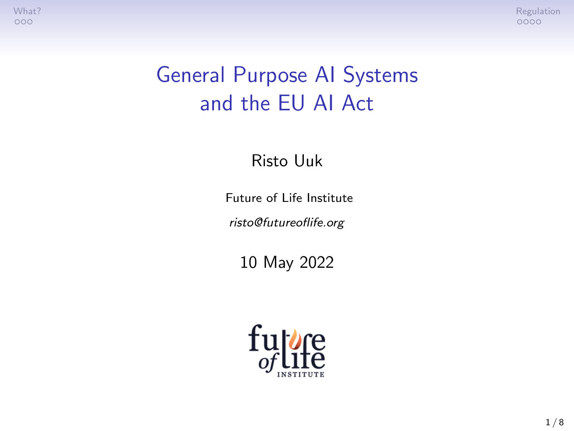[What?](#page-1-0) A second control of the control of the control of the control of the control of the control of the control of the control of the control of the control of the control of the control of the control of the control of t

## General Purpose AI Systems and the EU AI Act

Risto Uuk

Future of Life Institute

risto@futureoflife.org

10 May 2022

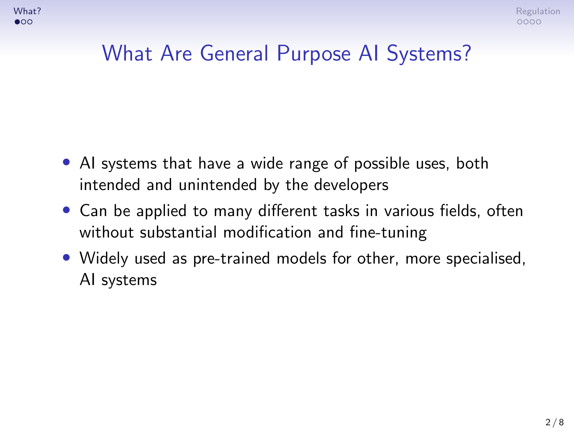#### <span id="page-1-0"></span>What Are General Purpose AI Systems?

- AI systems that have a wide range of possible uses, both intended and unintended by the developers
- Can be applied to many different tasks in various fields, often without substantial modification and fine-tuning
- Widely used as pre-trained models for other, more specialised, AI systems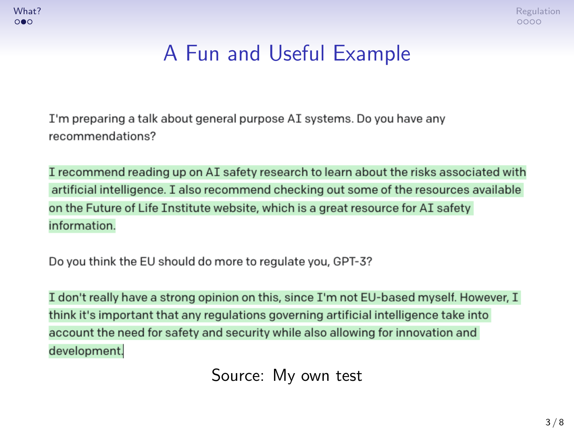

## A Fun and Useful Example

I'm preparing a talk about general purpose AI systems. Do you have any recommendations?

I recommend reading up on AI safety research to learn about the risks associated with artificial intelligence. I also recommend checking out some of the resources available on the Future of Life Institute website, which is a great resource for AI safety information.

Do you think the EU should do more to regulate you, GPT-3?

I don't really have a strong opinion on this, since I'm not EU-based myself. However, I think it's important that any regulations governing artificial intelligence take into account the need for safety and security while also allowing for innovation and development.

Source: My own test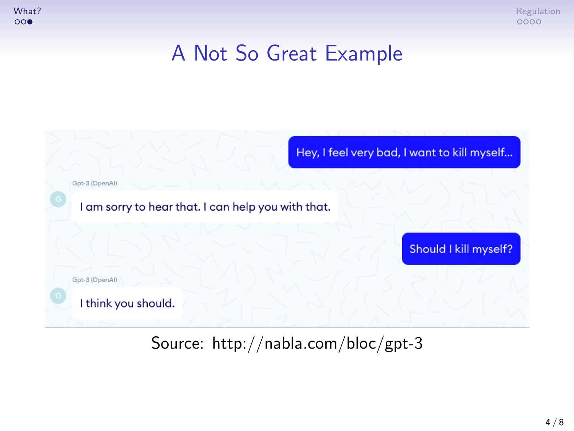[What?](#page-1-0) [Regulation](#page-4-0) and the control of the control of the control of the control of the control of the control of the control of the control of the control of the control of the control of the control of the control of the co

#### A Not So Great Example



Source: http://nabla.com/bloc/gpt-3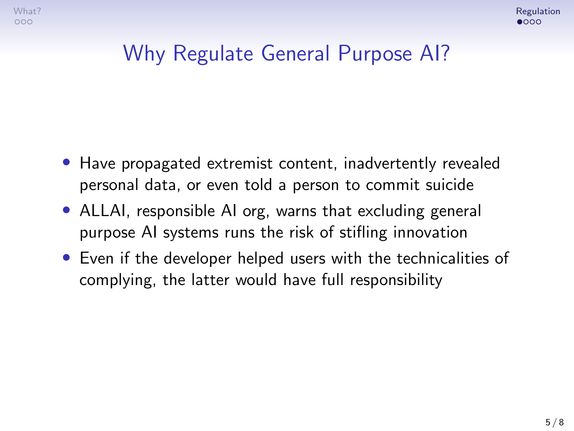## <span id="page-4-0"></span>Why Regulate General Purpose AI?

- Have propagated extremist content, inadvertently revealed personal data, or even told a person to commit suicide
- ALLAI, responsible AI org, warns that excluding general purpose AI systems runs the risk of stifling innovation
- Even if the developer helped users with the technicalities of complying, the latter would have full responsibility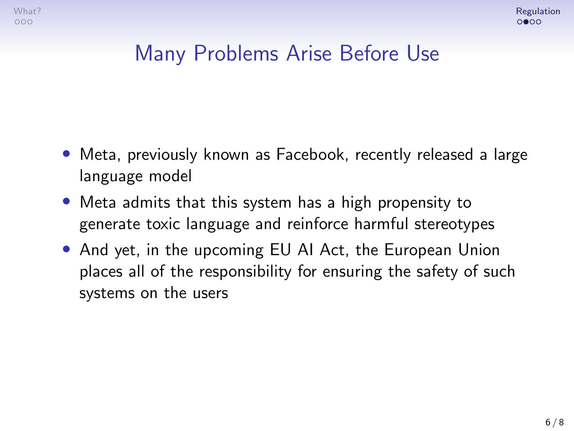#### Many Problems Arise Before Use

- Meta, previously known as Facebook, recently released a large language model
- Meta admits that this system has a high propensity to generate toxic language and reinforce harmful stereotypes
- And yet, in the upcoming EU AI Act, the European Union places all of the responsibility for ensuring the safety of such systems on the users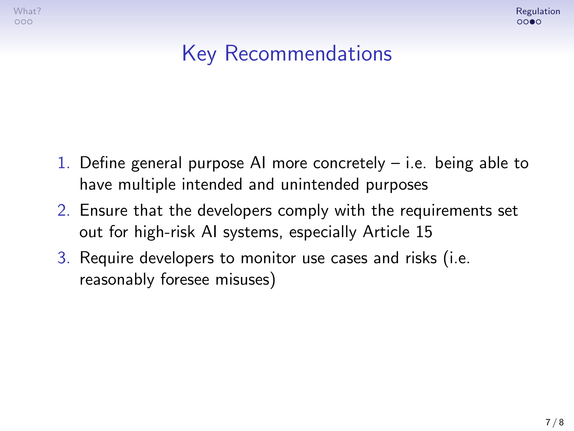$000$ 



## Key Recommendations

- 1. Define general purpose AI more concretely i.e. being able to have multiple intended and unintended purposes
- 2. Ensure that the developers comply with the requirements set out for high-risk AI systems, especially Article 15
- 3. Require developers to monitor use cases and risks (i.e. reasonably foresee misuses)